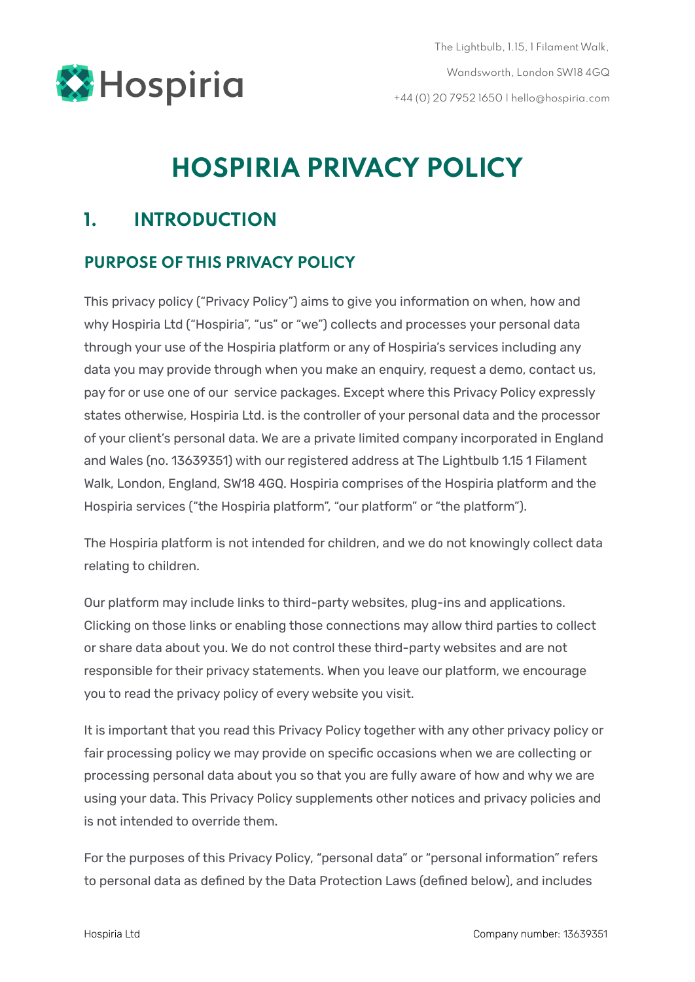

# **HOSPIRIA PRIVACY POLICY**

# **1. INTRODUCTION**

#### **PURPOSE OF THIS PRIVACY POLICY**

This privacy policy ("Privacy Policy") aims to give you information on when, how and why Hospiria Ltd ("Hospiria", "us" or "we") collects and processes your personal data through your use of the Hospiria platform or any of Hospiria's services including any data you may provide through when you make an enquiry, request a demo, contact us, pay for or use one of our service packages. Except where this Privacy Policy expressly states otherwise, Hospiria Ltd. is the controller of your personal data and the processor of your client's personal data. We are a private limited company incorporated in England and Wales (no. 13639351) with our registered address at The Lightbulb 1.15 1 Filament Walk, London, England, SW18 4GQ. Hospiria comprises of the Hospiria platform and the Hospiria services ("the Hospiria platform", "our platform" or "the platform").

The Hospiria platform is not intended for children, and we do not knowingly collect data relating to children.

Our platform may include links to third-party websites, plug-ins and applications. Clicking on those links or enabling those connections may allow third parties to collect or share data about you. We do not control these third-party websites and are not responsible for their privacy statements. When you leave our platform, we encourage you to read the privacy policy of every website you visit.

It is important that you read this Privacy Policy together with any other privacy policy or fair processing policy we may provide on specific occasions when we are collecting or processing personal data about you so that you are fully aware of how and why we are using your data. This Privacy Policy supplements other notices and privacy policies and is not intended to override them.

For the purposes of this Privacy Policy, "personal data" or "personal information" refers to personal data as defined by the Data Protection Laws (defined below), and includes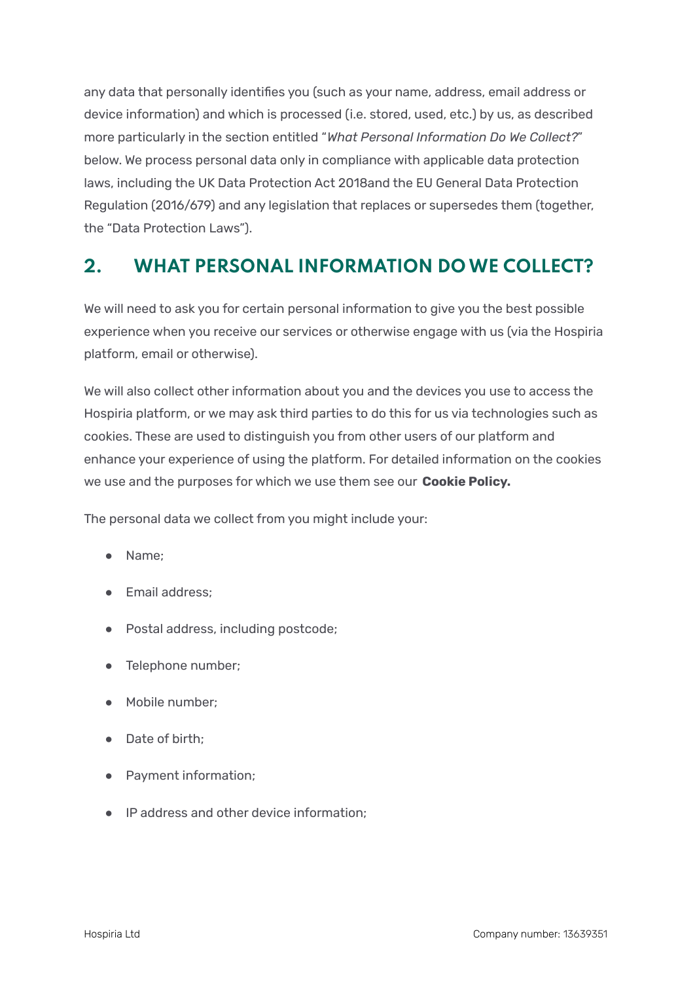any data that personally identifies you (such as your name, address, email address or device information) and which is processed (i.e. stored, used, etc.) by us, as described more particularly in the section entitled "*What Personal Information Do We Collect?*" below. We process personal data only in compliance with applicable data protection laws, including the UK Data Protection Act 2018and the EU General Data Protection Regulation (2016/679) and any legislation that replaces or supersedes them (together, the "Data Protection Laws").

## **2. WHAT PERSONAL INFORMATION DOWE COLLECT?**

We will need to ask you for certain personal information to give you the best possible experience when you receive our services or otherwise engage with us (via the Hospiria platform, email or otherwise).

We will also collect other information about you and the devices you use to access the Hospiria platform, or we may ask third parties to do this for us via technologies such as cookies. These are used to distinguish you from other users of our platform and enhance your experience of using the platform. For detailed information on the cookies we use and the purposes for which we use them see our **[Cookie](https://www.hospiria.com/pdfs/hospiria-cookie-policy.pdf) Policy.**

The personal data we collect from you might include your:

- Name;
- Email address;
- Postal address, including postcode;
- Telephone number;
- Mobile number;
- Date of birth;
- Payment information;
- IP address and other device information;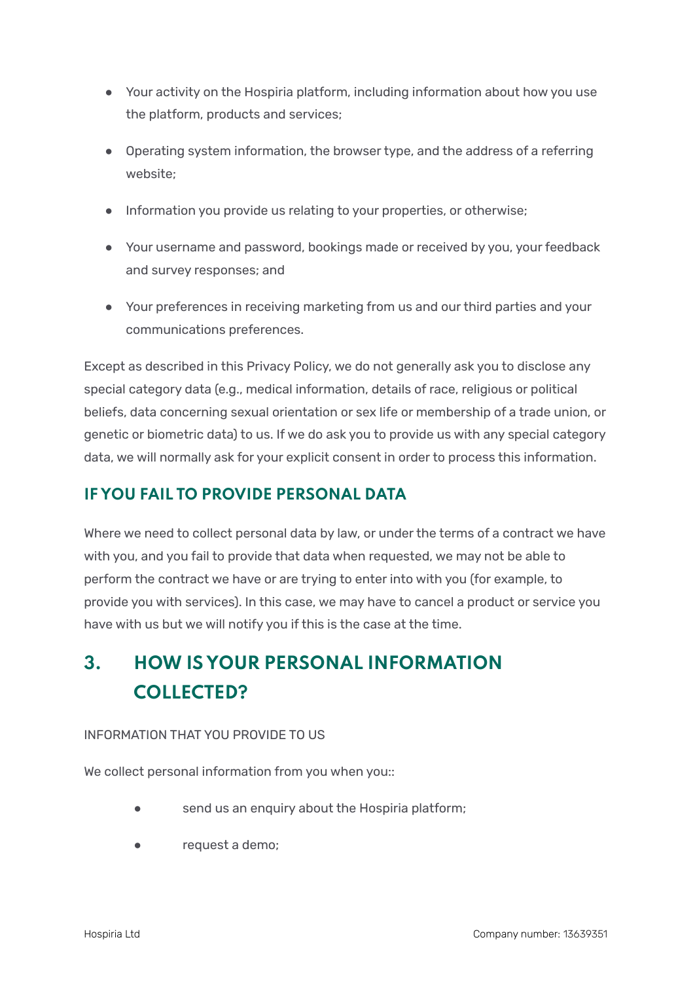- Your activity on the Hospiria platform, including information about how you use the platform, products and services;
- Operating system information, the browser type, and the address of a referring website;
- Information you provide us relating to your properties, or otherwise;
- Your username and password, bookings made or received by you, your feedback and survey responses; and
- Your preferences in receiving marketing from us and our third parties and your communications preferences.

Except as described in this Privacy Policy, we do not generally ask you to disclose any special category data (e.g., medical information, details of race, religious or political beliefs, data concerning sexual orientation or sex life or membership of a trade union, or genetic or biometric data) to us. If we do ask you to provide us with any special category data, we will normally ask for your explicit consent in order to process this information.

#### **IF YOU FAIL TO PROVIDE PERSONAL DATA**

Where we need to collect personal data by law, or under the terms of a contract we have with you, and you fail to provide that data when requested, we may not be able to perform the contract we have or are trying to enter into with you (for example, to provide you with services). In this case, we may have to cancel a product or service you have with us but we will notify you if this is the case at the time.

# **3. HOW IS YOUR PERSONAL INFORMATION COLLECTED?**

#### INFORMATION THAT YOU PROVIDE TO US

We collect personal information from you when you::

- send us an enquiry about the Hospiria platform;
- request a demo;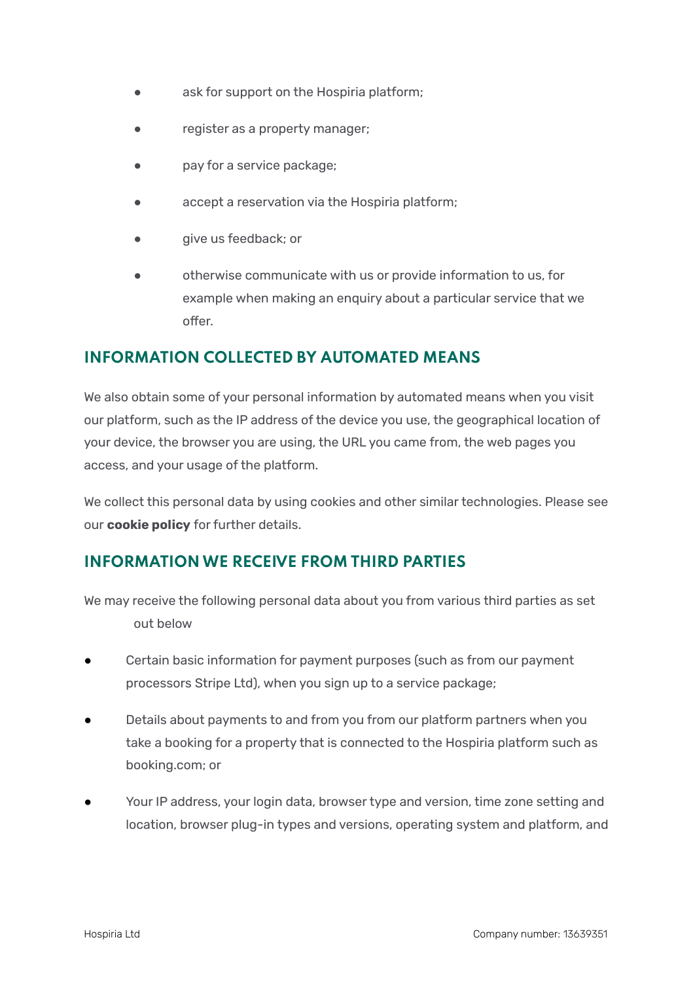- ask for support on the Hospiria platform;
- register as a property manager;
- pay for a service package;
- accept a reservation via the Hospiria platform;
- give us feedback; or
- otherwise communicate with us or provide information to us, for example when making an enquiry about a particular service that we offer.

#### **INFORMATION COLLECTED BY AUTOMATED MEANS**

We also obtain some of your personal information by automated means when you visit our platform, such as the IP address of the device you use, the geographical location of your device, the browser you are using, the URL you came from, the web pages you access, and your usage of the platform.

We collect this personal data by using cookies and other similar technologies. Please see our **[cookie](https://www.hospiria.com/pdfs/hospiria-cookie-policy.pdf) policy** for further details.

#### **INFORMATIONWE RECEIVE FROM THIRD PARTIES**

We may receive the following personal data about you from various third parties as set out below

- Certain basic information for payment purposes (such as from our payment processors Stripe Ltd), when you sign up to a service package;
- Details about payments to and from you from our platform partners when you take a booking for a property that is connected to the Hospiria platform such as booking.com; or
- Your IP address, your login data, browser type and version, time zone setting and location, browser plug-in types and versions, operating system and platform, and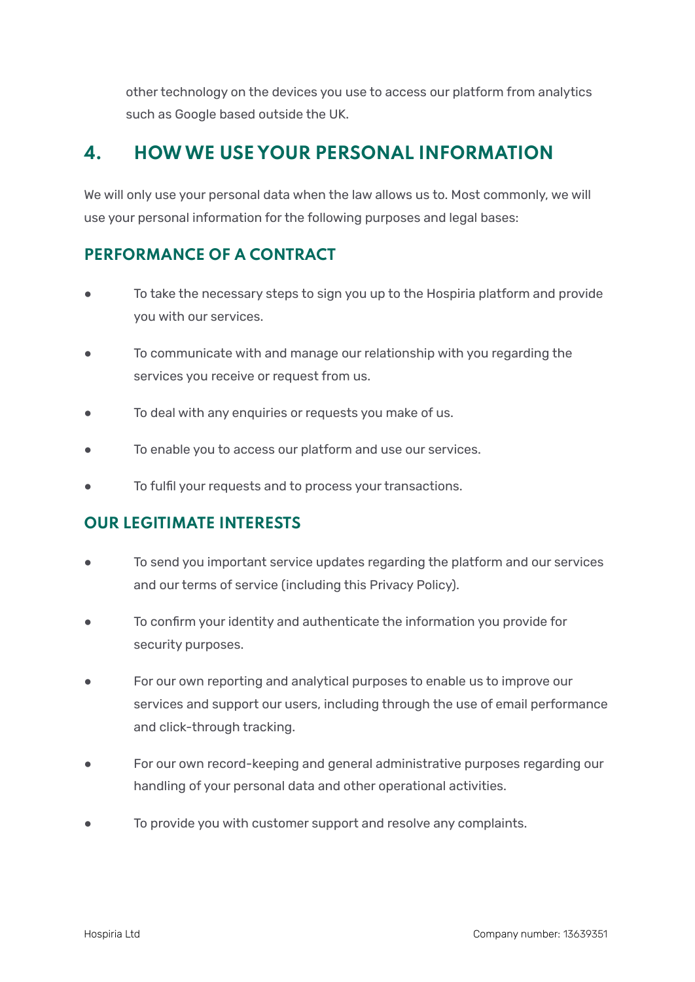other technology on the devices you use to access our platform from analytics such as Google based outside the UK.

## **4. HOWWE USE YOUR PERSONAL INFORMATION**

We will only use your personal data when the law allows us to. Most commonly, we will use your personal information for the following purposes and legal bases:

#### **PERFORMANCE OF A CONTRACT**

- To take the necessary steps to sign you up to the Hospiria platform and provide you with our services.
- To communicate with and manage our relationship with you regarding the services you receive or request from us.
- To deal with any enquiries or requests you make of us.
- To enable you to access our platform and use our services.
- To fulfil your requests and to process your transactions.

#### **OUR LEGITIMATE INTERESTS**

- To send you important service updates regarding the platform and our services and our terms of service (including this Privacy Policy).
- To confirm your identity and authenticate the information you provide for security purposes.
- For our own reporting and analytical purposes to enable us to improve our services and support our users, including through the use of email performance and click-through tracking.
- For our own record-keeping and general administrative purposes regarding our handling of your personal data and other operational activities.
- To provide you with customer support and resolve any complaints.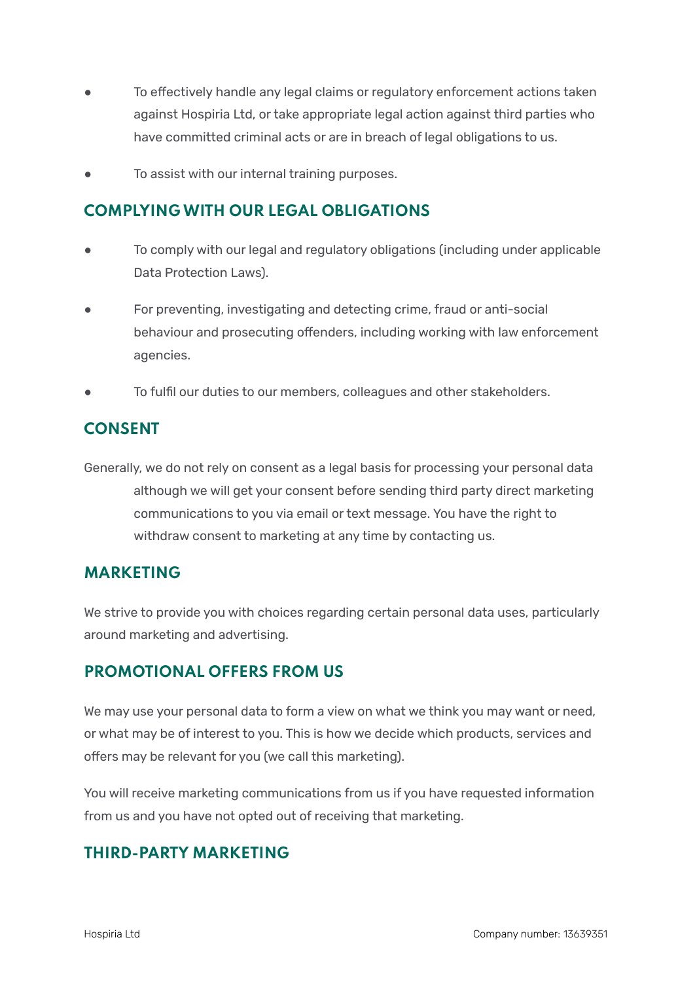- To effectively handle any legal claims or regulatory enforcement actions taken against Hospiria Ltd, or take appropriate legal action against third parties who have committed criminal acts or are in breach of legal obligations to us.
- To assist with our internal training purposes.

#### **COMPLYINGWITH OUR LEGAL OBLIGATIONS**

- To comply with our legal and regulatory obligations (including under applicable Data Protection Laws).
- For preventing, investigating and detecting crime, fraud or anti-social behaviour and prosecuting offenders, including working with law enforcement agencies.
- To fulfil our duties to our members, colleagues and other stakeholders.

#### **CONSENT**

Generally, we do not rely on consent as a legal basis for processing your personal data although we will get your consent before sending third party direct marketing communications to you via email or text message. You have the right to withdraw consent to marketing at any time by contacting us.

#### **MARKETING**

We strive to provide you with choices regarding certain personal data uses, particularly around marketing and advertising.

#### **PROMOTIONAL OFFERS FROM US**

We may use your personal data to form a view on what we think you may want or need. or what may be of interest to you. This is how we decide which products, services and offers may be relevant for you (we call this marketing).

You will receive marketing communications from us if you have requested information from us and you have not opted out of receiving that marketing.

#### **THIRD-PARTY MARKETING**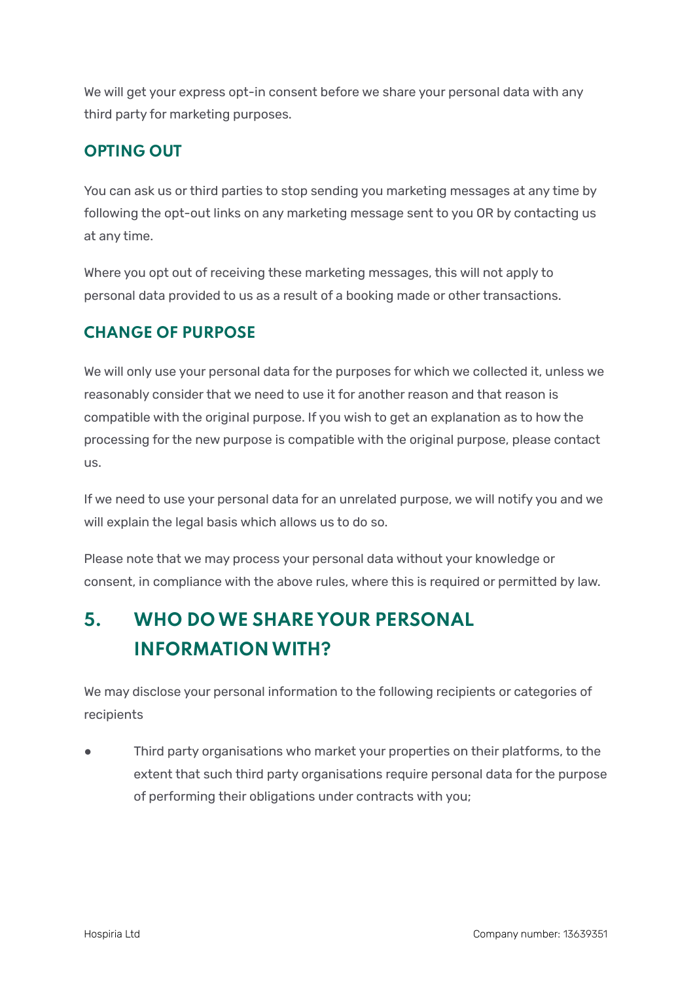We will get your express opt-in consent before we share your personal data with any third party for marketing purposes.

#### **OPTING OUT**

You can ask us or third parties to stop sending you marketing messages at any time by following the opt-out links on any marketing message sent to you OR by contacting us at any time.

Where you opt out of receiving these marketing messages, this will not apply to personal data provided to us as a result of a booking made or other transactions.

#### **CHANGE OF PURPOSE**

We will only use your personal data for the purposes for which we collected it, unless we reasonably consider that we need to use it for another reason and that reason is compatible with the original purpose. If you wish to get an explanation as to how the processing for the new purpose is compatible with the original purpose, please contact us.

If we need to use your personal data for an unrelated purpose, we will notify you and we will explain the legal basis which allows us to do so.

Please note that we may process your personal data without your knowledge or consent, in compliance with the above rules, where this is required or permitted by law.

# **5. WHO DOWE SHARE YOUR PERSONAL INFORMATION WITH?**

We may disclose your personal information to the following recipients or categories of recipients

Third party organisations who market your properties on their platforms, to the extent that such third party organisations require personal data for the purpose of performing their obligations under contracts with you;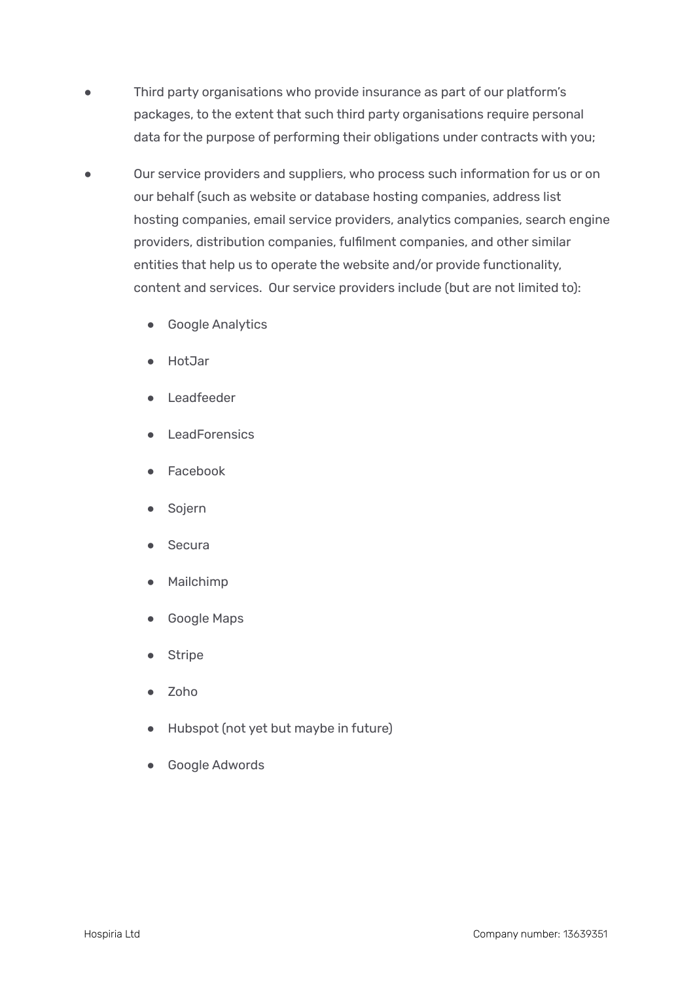- Third party organisations who provide insurance as part of our platform's packages, to the extent that such third party organisations require personal data for the purpose of performing their obligations under contracts with you;
- Our service providers and suppliers, who process such information for us or on our behalf (such as website or database hosting companies, address list hosting companies, email service providers, analytics companies, search engine providers, distribution companies, fulfilment companies, and other similar entities that help us to operate the website and/or provide functionality, content and services. Our service providers include (but are not limited to):
	- Google Analytics
	- HotJar
	- Leadfeeder
	- LeadForensics
	- **Facebook**
	- **Sojern**
	- Secura
	- **Mailchimp**
	- Google Maps
	- **Stripe**
	- Zoho
	- Hubspot (not yet but maybe in future)
	- Google Adwords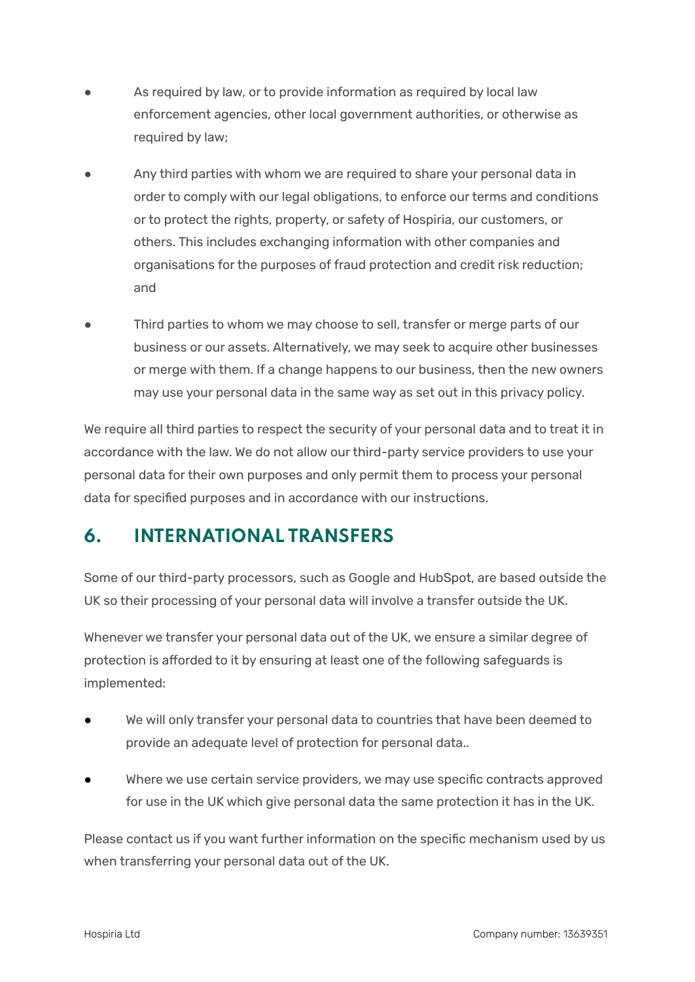- As required by law, or to provide information as required by local law enforcement agencies, other local government authorities, or otherwise as required by law;
- Any third parties with whom we are required to share your personal data in order to comply with our legal obligations, to enforce our terms and conditions or to protect the rights, property, or safety of Hospiria, our customers, or others. This includes exchanging information with other companies and organisations for the purposes of fraud protection and credit risk reduction; and
- Third parties to whom we may choose to sell, transfer or merge parts of our business or our assets. Alternatively, we may seek to acquire other businesses or merge with them. If a change happens to our business, then the new owners may use your personal data in the same way as set out in this privacy policy.

We require all third parties to respect the security of your personal data and to treat it in accordance with the law. We do not allow our third-party service providers to use your personal data for their own purposes and only permit them to process your personal data for specified purposes and in accordance with our instructions.

# **6. INTERNATIONAL TRANSFERS**

Some of our third-party processors, such as Google and HubSpot, are based outside the UK so their processing of your personal data will involve a transfer outside the UK.

Whenever we transfer your personal data out of the UK, we ensure a similar degree of protection is afforded to it by ensuring at least one of the following safeguards is implemented:

- We will only transfer your personal data to countries that have been deemed to provide an adequate level of protection for personal data..
- Where we use certain service providers, we may use specific contracts approved for use in the UK which give personal data the same protection it has in the UK.

Please contact us if you want further information on the specific mechanism used by us when transferring your personal data out of the UK.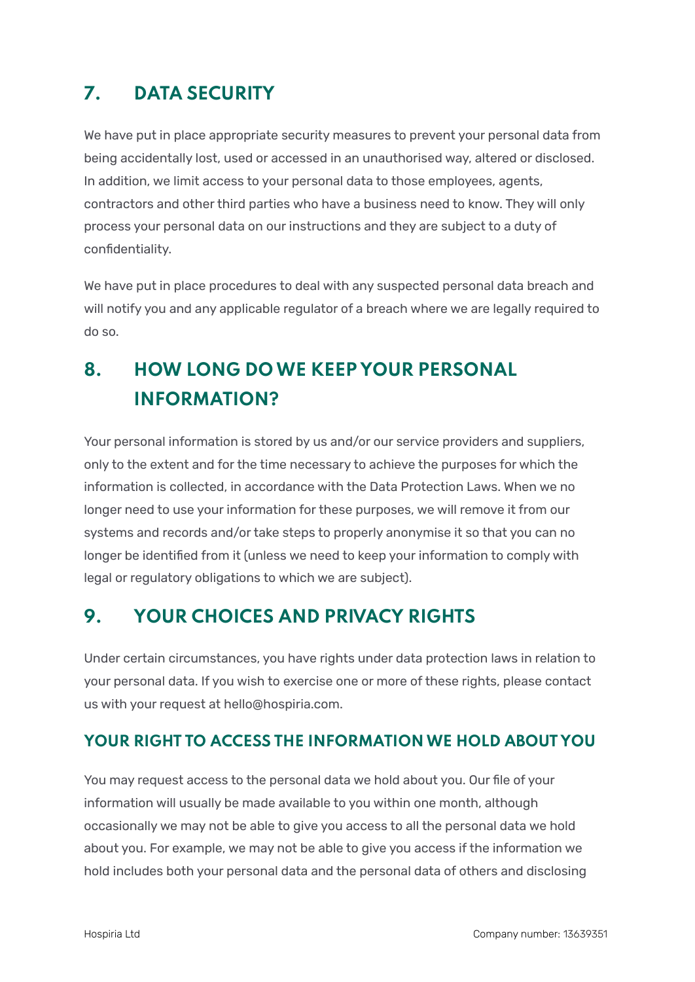# **7. DATA SECURITY**

We have put in place appropriate security measures to prevent your personal data from being accidentally lost, used or accessed in an unauthorised way, altered or disclosed. In addition, we limit access to your personal data to those employees, agents, contractors and other third parties who have a business need to know. They will only process your personal data on our instructions and they are subject to a duty of confidentiality.

We have put in place procedures to deal with any suspected personal data breach and will notify you and any applicable regulator of a breach where we are legally required to do so.

# **8. HOW LONG DOWE KEEP YOUR PERSONAL INFORMATION?**

Your personal information is stored by us and/or our service providers and suppliers, only to the extent and for the time necessary to achieve the purposes for which the information is collected, in accordance with the Data Protection Laws. When we no longer need to use your information for these purposes, we will remove it from our systems and records and/or take steps to properly anonymise it so that you can no longer be identified from it (unless we need to keep your information to comply with legal or regulatory obligations to which we are subject).

### **9. YOUR CHOICES AND PRIVACY RIGHTS**

Under certain circumstances, you have rights under data protection laws in relation to your personal data. If you wish to exercise one or more of these rights, please contact us with your request at hello@hospiria.com.

#### **YOUR RIGHT TO ACCESS THE INFORMATIONWE HOLD ABOUT YOU**

You may request access to the personal data we hold about you. Our file of your information will usually be made available to you within one month, although occasionally we may not be able to give you access to all the personal data we hold about you. For example, we may not be able to give you access if the information we hold includes both your personal data and the personal data of others and disclosing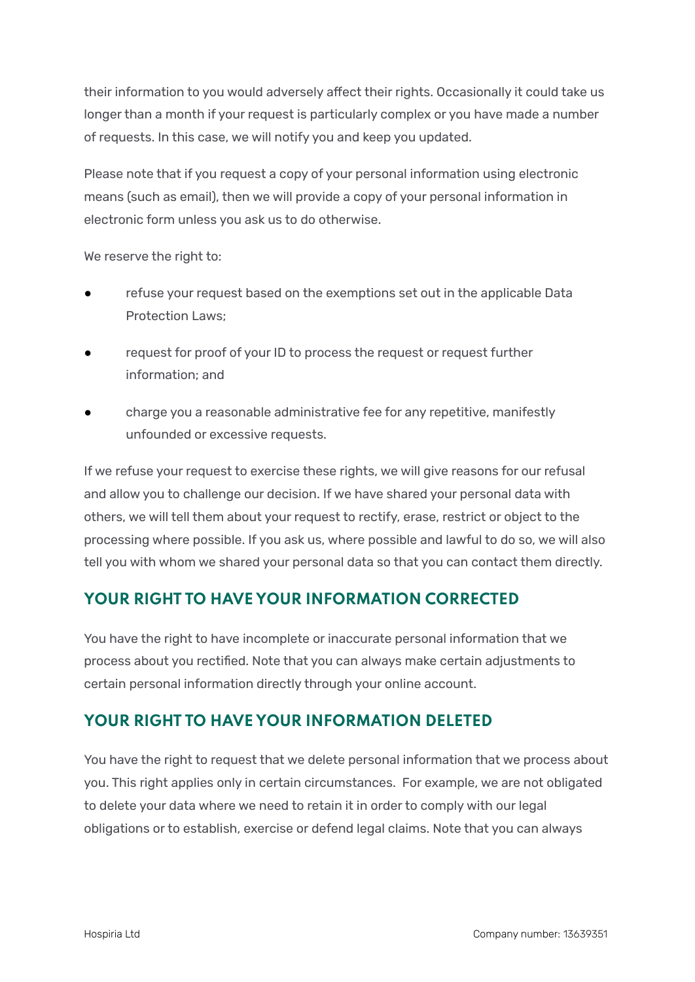their information to you would adversely affect their rights. Occasionally it could take us longer than a month if your request is particularly complex or you have made a number of requests. In this case, we will notify you and keep you updated.

Please note that if you request a copy of your personal information using electronic means (such as email), then we will provide a copy of your personal information in electronic form unless you ask us to do otherwise.

We reserve the right to:

- refuse your request based on the exemptions set out in the applicable Data Protection Laws;
- request for proof of your ID to process the request or request further information; and
- charge you a reasonable administrative fee for any repetitive, manifestly unfounded or excessive requests.

If we refuse your request to exercise these rights, we will give reasons for our refusal and allow you to challenge our decision. If we have shared your personal data with others, we will tell them about your request to rectify, erase, restrict or object to the processing where possible. If you ask us, where possible and lawful to do so, we will also tell you with whom we shared your personal data so that you can contact them directly.

#### **YOUR RIGHT TO HAVE YOUR INFORMATION CORRECTED**

You have the right to have incomplete or inaccurate personal information that we process about you rectified. Note that you can always make certain adjustments to certain personal information directly through your online account.

#### **YOUR RIGHT TO HAVE YOUR INFORMATION DELETED**

You have the right to request that we delete personal information that we process about you. This right applies only in certain circumstances. For example, we are not obligated to delete your data where we need to retain it in order to comply with our legal obligations or to establish, exercise or defend legal claims. Note that you can always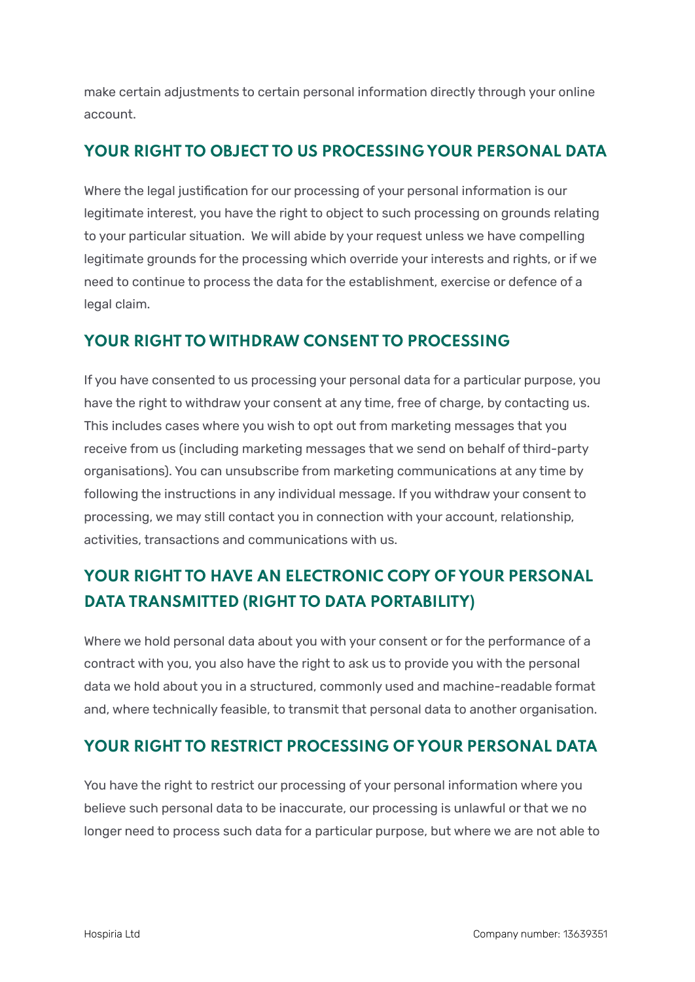make certain adjustments to certain personal information directly through your online account.

#### **YOUR RIGHT TO OBJECT TO US PROCESSING YOUR PERSONAL DATA**

Where the legal justification for our processing of your personal information is our legitimate interest, you have the right to object to such processing on grounds relating to your particular situation. We will abide by your request unless we have compelling legitimate grounds for the processing which override your interests and rights, or if we need to continue to process the data for the establishment, exercise or defence of a legal claim.

#### **YOUR RIGHT TOWITHDRAW CONSENT TO PROCESSING**

If you have consented to us processing your personal data for a particular purpose, you have the right to withdraw your consent at any time, free of charge, by contacting us. This includes cases where you wish to opt out from marketing messages that you receive from us (including marketing messages that we send on behalf of third-party organisations). You can unsubscribe from marketing communications at any time by following the instructions in any individual message. If you withdraw your consent to processing, we may still contact you in connection with your account, relationship, activities, transactions and communications with us.

## **YOUR RIGHT TO HAVE AN ELECTRONIC COPY OF YOUR PERSONAL DATA TRANSMITTED (RIGHT TO DATA PORTABILITY)**

Where we hold personal data about you with your consent or for the performance of a contract with you, you also have the right to ask us to provide you with the personal data we hold about you in a structured, commonly used and machine-readable format and, where technically feasible, to transmit that personal data to another organisation.

#### **YOUR RIGHT TO RESTRICT PROCESSING OF YOUR PERSONAL DATA**

You have the right to restrict our processing of your personal information where you believe such personal data to be inaccurate, our processing is unlawful or that we no longer need to process such data for a particular purpose, but where we are not able to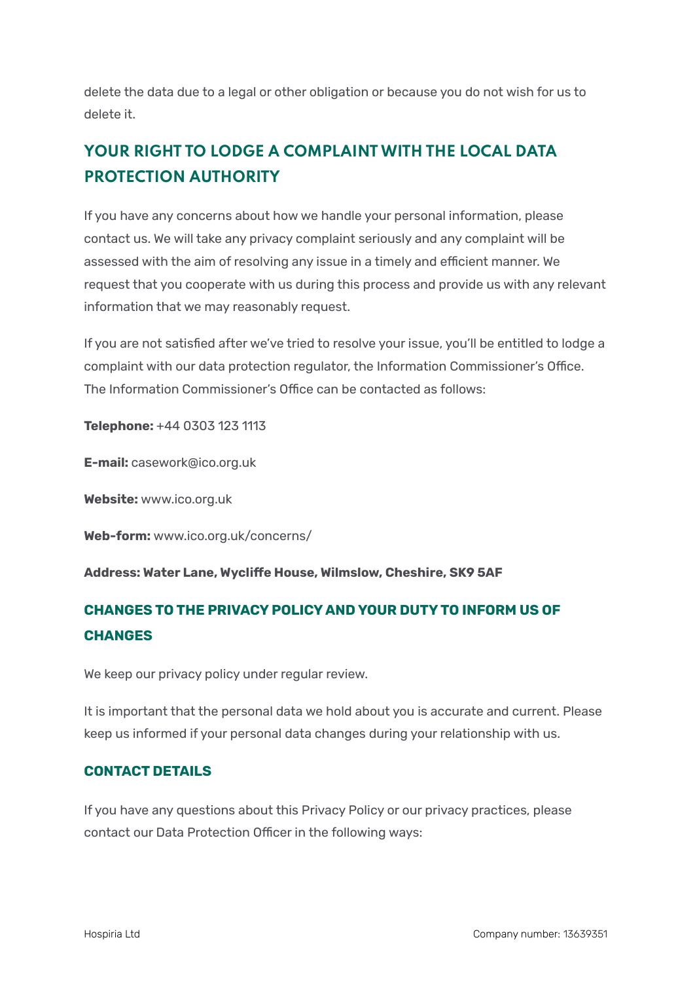delete the data due to a legal or other obligation or because you do not wish for us to delete it.

# **YOUR RIGHT TO LODGE A COMPLAINTWITH THE LOCAL DATA PROTECTION AUTHORITY**

If you have any concerns about how we handle your personal information, please contact us. We will take any privacy complaint seriously and any complaint will be assessed with the aim of resolving any issue in a timely and efficient manner. We request that you cooperate with us during this process and provide us with any relevant information that we may reasonably request.

If you are not satisfied after we've tried to resolve your issue, you'll be entitled to lodge a complaint with our data protection regulator, the Information Commissioner's Office. The Information Commissioner's Office can be contacted as follows:

**Telephone:** +44 0303 123 1113

**E-mail:** casework@ico.org.uk

**Website:** www.ico.org.uk

**Web-form:** www.ico.org.uk/concerns/

**Address: Water Lane, Wycliffe House, Wilmslow, Cheshire, SK9 5AF**

#### **CHANGES TO THE PRIVACY POLICY AND YOUR DUTYTO INFORM US OF CHANGES**

We keep our privacy policy under regular review.

It is important that the personal data we hold about you is accurate and current. Please keep us informed if your personal data changes during your relationship with us.

#### **CONTACT DETAILS**

If you have any questions about this Privacy Policy or our privacy practices, please contact our Data Protection Officer in the following ways: